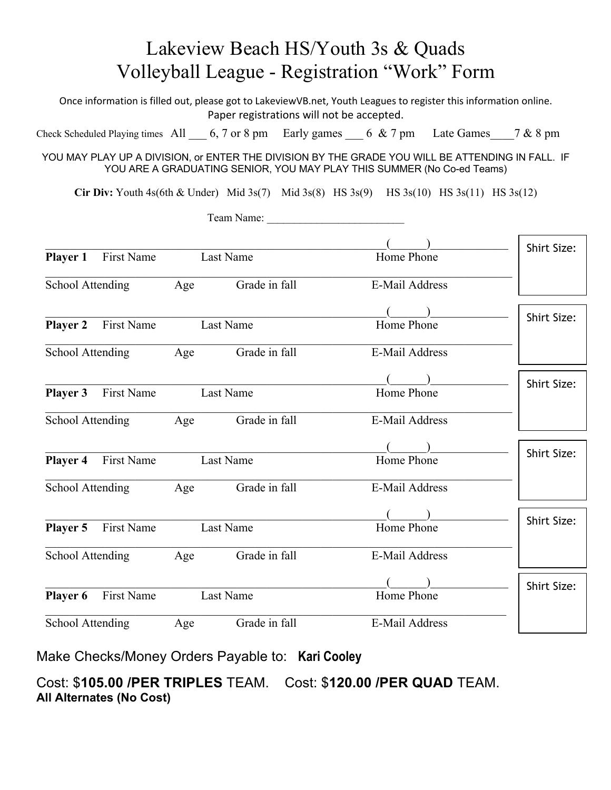## Lakeview Beach HS/Youth 3s & Quads Volleyball League - Registration "Work" Form

Once information is filled out, please got to LakeviewVB.net, Youth Leagues to register this information online. Paper registrations will not be accepted.

Check Scheduled Playing times All  $\qquad 6, 7$  or 8 pm Early games  $\qquad 6 \& 7$  pm Late Games  $\qquad 7 \& 8$  pm

YOU MAY PLAY UP A DIVISION, or ENTER THE DIVISION BY THE GRADE YOU WILL BE ATTENDING IN FALL. IF YOU ARE A GRADUATING SENIOR, YOU MAY PLAY THIS SUMMER (No Co-ed Teams)

**Cir Div:** Youth 4s(6th & Under) Mid 3s(7) Mid 3s(8) HS 3s(9) HS 3s(10) HS 3s(11) HS 3s(12)

Team Name:

|                                      |                   |           |               |                       | <b>Shirt Size:</b> |
|--------------------------------------|-------------------|-----------|---------------|-----------------------|--------------------|
| Player 1                             | First Name        |           | Last Name     | Home Phone            |                    |
| School Attending                     |                   | Age       | Grade in fall | <b>E-Mail Address</b> |                    |
|                                      |                   |           |               |                       | <b>Shirt Size:</b> |
| <b>First Name</b><br><b>Player 2</b> |                   | Last Name |               | Home Phone            |                    |
| School Attending                     |                   | Age       | Grade in fall | E-Mail Address        |                    |
|                                      |                   |           |               |                       | <b>Shirt Size:</b> |
| Player 3                             | First Name        | Last Name |               | Home Phone            |                    |
| School Attending                     |                   | Age       | Grade in fall | <b>E-Mail Address</b> |                    |
|                                      |                   |           |               |                       | <b>Shirt Size:</b> |
| First Name<br>Player 4               |                   | Last Name |               | Home Phone            |                    |
| School Attending                     |                   | Age       | Grade in fall | E-Mail Address        |                    |
|                                      |                   |           |               |                       | <b>Shirt Size:</b> |
| Player 5                             | <b>First Name</b> | Last Name |               | Home Phone            |                    |
| School Attending                     |                   | Age       | Grade in fall | E-Mail Address        |                    |
|                                      |                   |           |               |                       | <b>Shirt Size:</b> |
| <b>Player 6</b>                      | First Name        | Last Name |               | Home Phone            |                    |
| School Attending                     |                   | Age       | Grade in fall | E-Mail Address        |                    |

Make Checks/Money Orders Payable to: **Kari Cooley** 

Cost: \$**105.00 /PER TRIPLES** TEAM. Cost: \$**120.00 /PER QUAD** TEAM. **All Alternates (No Cost)**